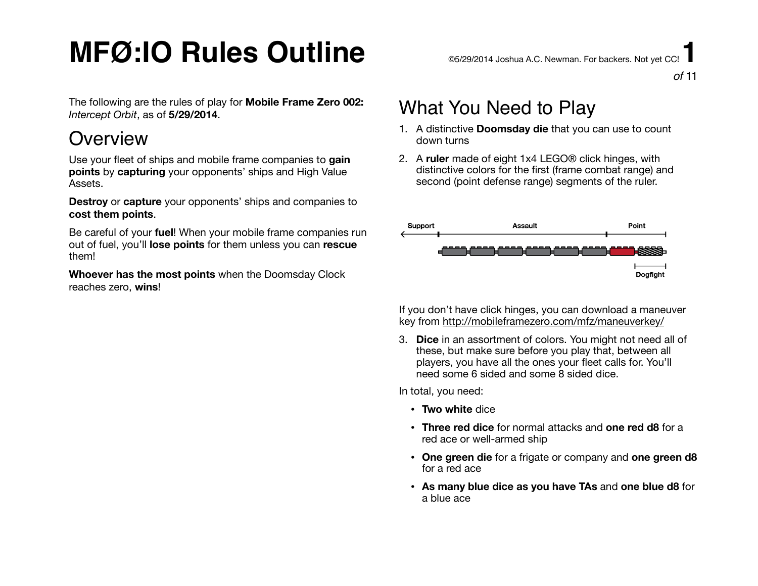The following are the rules of play for **Mobile Frame Zero 002:**  *Intercept Orbit*, as of **5/29/2014**.

### **Overview**

Use your fleet of ships and mobile frame companies to **gain points** by **capturing** your opponents' ships and High Value Assets.

**Destroy** or **capture** your opponents' ships and companies to **cost them points**.

Be careful of your **fuel**! When your mobile frame companies run out of fuel, you'll **lose points** for them unless you can **rescue** them!

**Whoever has the most points** when the Doomsday Clock reaches zero, **wins**!

#### *of* 11

## What You Need to Play

- 1. A distinctive **Doomsday die** that you can use to count down turns
- 2. A **ruler** made of eight 1x4 LEGO® click hinges, with distinctive colors for the first (frame combat range) and second (point defense range) segments of the ruler.



If you don't have click hinges, you can download a maneuver key from <http://mobileframezero.com/mfz/maneuverkey/>

3. **Dice** in an assortment of colors. You might not need all of these, but make sure before you play that, between all players, you have all the ones your fleet calls for. You'll need some 6 sided and some 8 sided dice.

In total, you need:

- **Two white** dice
- **Three red dice** for normal attacks and **one red d8** for a red ace or well-armed ship
- **One green die** for a frigate or company and **one green d8** for a red ace
- **As many blue dice as you have TAs** and **one blue d8** for a blue ace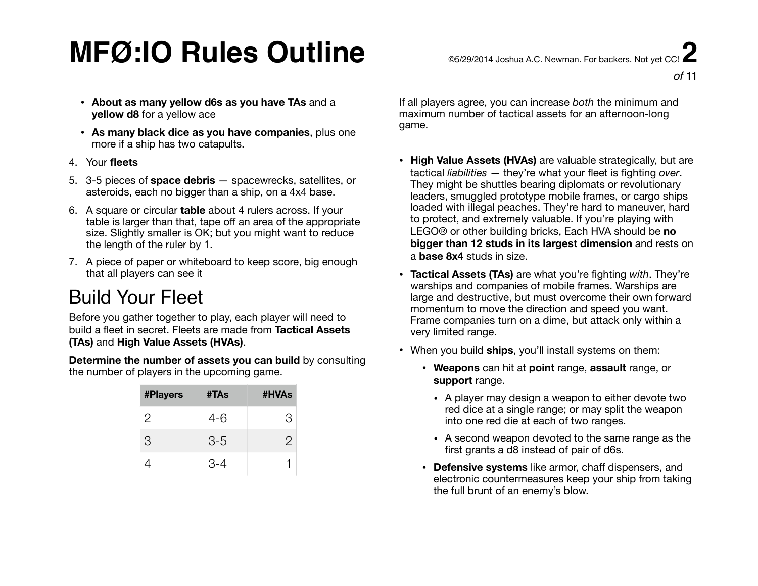- **About as many yellow d6s as you have TAs** and a **yellow d8** for a yellow ace
- **As many black dice as you have companies**, plus one more if a ship has two catapults.
- 4. Your **fleets**
- 5. 3-5 pieces of **space debris** spacewrecks, satellites, or asteroids, each no bigger than a ship, on a 4x4 base.
- 6. A square or circular **table** about 4 rulers across. If your table is larger than that, tape off an area of the appropriate size. Slightly smaller is OK; but you might want to reduce the length of the ruler by 1.
- 7. A piece of paper or whiteboard to keep score, big enough that all players can see it

## Build Your Fleet

Before you gather together to play, each player will need to build a fleet in secret. Fleets are made from **Tactical Assets (TAs)** and **High Value Assets (HVAs)**.

**Determine the number of assets you can build** by consulting the number of players in the upcoming game.

| <b>#Players</b> | #TAs    | #HVAs |
|-----------------|---------|-------|
| 2               | 4-6     | З     |
| 3               | $3 - 5$ | 2     |
|                 | $3 - 4$ |       |

If all players agree, you can increase *both* the minimum and maximum number of tactical assets for an afternoon-long game.

- **High Value Assets (HVAs)** are valuable strategically, but are tactical *liabilities* — they're what your fleet is fighting *over*. They might be shuttles bearing diplomats or revolutionary leaders, smuggled prototype mobile frames, or cargo ships loaded with illegal peaches. They're hard to maneuver, hard to protect, and extremely valuable. If you're playing with LEGO® or other building bricks, Each HVA should be **no bigger than 12 studs in its largest dimension** and rests on a **base 8x4** studs in size.
- **Tactical Assets (TAs)** are what you're fighting *with*. They're warships and companies of mobile frames. Warships are large and destructive, but must overcome their own forward momentum to move the direction and speed you want. Frame companies turn on a dime, but attack only within a very limited range.
- When you build **ships**, you'll install systems on them:
	- **Weapons** can hit at **point** range, **assault** range, or **support** range.
		- A player may design a weapon to either devote two red dice at a single range; or may split the weapon into one red die at each of two ranges.
		- A second weapon devoted to the same range as the first grants a d8 instead of pair of d6s.
	- **Defensive systems** like armor, chaff dispensers, and electronic countermeasures keep your ship from taking the full brunt of an enemy's blow.

*of* 11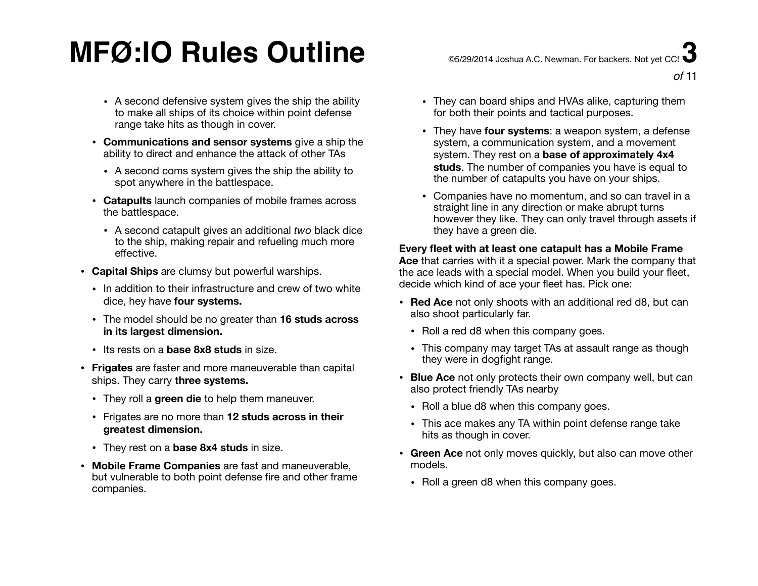- A second defensive system gives the ship the ability to make all ships of its choice within point defense range take hits as though in cover.
- **Communications and sensor systems** give a ship the ability to direct and enhance the attack of other TAs
	- A second coms system gives the ship the ability to spot anywhere in the battlespace.
- **Catapults** launch companies of mobile frames across the battlespace.
	- A second catapult gives an additional *two* black dice to the ship, making repair and refueling much more effective.
- **Capital Ships** are clumsy but powerful warships.
	- In addition to their infrastructure and crew of two white dice, hey have **four systems.**
	- The model should be no greater than **16 studs across in its largest dimension.**
	- Its rests on a **base 8x8 studs** in size.
- **Frigates** are faster and more maneuverable than capital ships. They carry **three systems.** 
	- They roll a **green die** to help them maneuver.
	- Frigates are no more than **12 studs across in their greatest dimension.**
	- They rest on a **base 8x4 studs** in size.
- **Mobile Frame Companies** are fast and maneuverable, but vulnerable to both point defense fire and other frame companies.

*of* 11

- They can board ships and HVAs alike, capturing them for both their points and tactical purposes.
- They have **four systems**: a weapon system, a defense system, a communication system, and a movement system. They rest on a **base of approximately 4x4 studs**. The number of companies you have is equal to the number of catapults you have on your ships.
- Companies have no momentum, and so can travel in a straight line in any direction or make abrupt turns however they like. They can only travel through assets if they have a green die.

#### **Every fleet with at least one catapult has a Mobile Frame**

**Ace** that carries with it a special power. Mark the company that the ace leads with a special model. When you build your fleet, decide which kind of ace your fleet has. Pick one:

- **Red Ace** not only shoots with an additional red d8, but can also shoot particularly far.
	- Roll a red d8 when this company goes.
	- This company may target TAs at assault range as though they were in dogfight range.
- **Blue Ace** not only protects their own company well, but can also protect friendly TAs nearby
	- Roll a blue d8 when this company goes.
	- This ace makes any TA within point defense range take hits as though in cover.
- **Green Ace** not only moves quickly, but also can move other models.
	- Roll a green d8 when this company goes.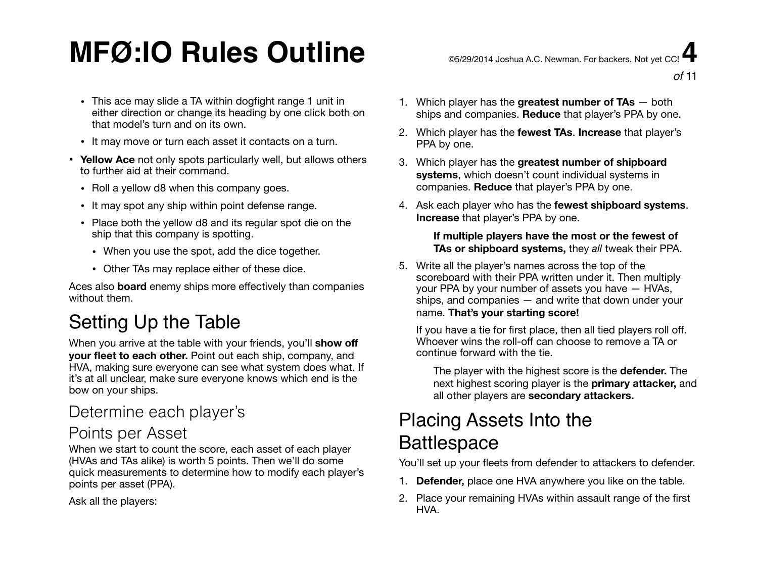## $\mathsf{MFG:IO}$  Rules Outline  $\mathsf{C}$   $\mathsf{C}$  and  $\mathsf{C}$   $\mathsf{C}$  and  $\mathsf{C}$   $\mathsf{C}$   $\mathsf{C}$   $\mathsf{C}$   $\mathsf{C}$   $\mathsf{C}$   $\mathsf{C}$   $\mathsf{C}$   $\mathsf{C}$   $\mathsf{C}$   $\mathsf{C}$   $\mathsf{C}$   $\mathsf{C}$   $\mathsf{C}$   $\mathsf{C}$   $\mathsf{C}$   $\mathsf{C}$

- This ace may slide a TA within dogfight range 1 unit in either direction or change its heading by one click both on that model's turn and on its own.
- It may move or turn each asset it contacts on a turn.
- **Yellow Ace** not only spots particularly well, but allows others to further aid at their command.
	- Roll a yellow d8 when this company goes.
	- It may spot any ship within point defense range.
	- Place both the yellow d8 and its regular spot die on the ship that this company is spotting.
		- When you use the spot, add the dice together.
		- Other TAs may replace either of these dice.

Aces also **board** enemy ships more effectively than companies without them.

## Setting Up the Table

When you arrive at the table with your friends, you'll **show off your fleet to each other.** Point out each ship, company, and HVA, making sure everyone can see what system does what. If it's at all unclear, make sure everyone knows which end is the bow on your ships.

#### Determine each player's

#### Points per Asset

When we start to count the score, each asset of each player (HVAs and TAs alike) is worth 5 points. Then we'll do some quick measurements to determine how to modify each player's points per asset (PPA).

Ask all the players:

- 1. Which player has the **greatest number of TAs** both ships and companies. **Reduce** that player's PPA by one.
- 2. Which player has the **fewest TAs**. **Increase** that player's PPA by one.
- 3. Which player has the **greatest number of shipboard systems**, which doesn't count individual systems in companies. **Reduce** that player's PPA by one.
- 4. Ask each player who has the **fewest shipboard systems**. **Increase** that player's PPA by one.

#### **If multiple players have the most or the fewest of TAs or shipboard systems,** they *all* tweak their PPA.

5. Write all the player's names across the top of the scoreboard with their PPA written under it. Then multiply your PPA by your number of assets you have — HVAs, ships, and companies — and write that down under your name. **That's your starting score!** 

If you have a tie for first place, then all tied players roll off. Whoever wins the roll-off can choose to remove a TA or continue forward with the tie.

The player with the highest score is the **defender.** The next highest scoring player is the **primary attacker,** and all other players are **secondary attackers.**

## Placing Assets Into the **Battlespace**

You'll set up your fleets from defender to attackers to defender.

- 1. **Defender,** place one HVA anywhere you like on the table.
- 2. Place your remaining HVAs within assault range of the first HVA.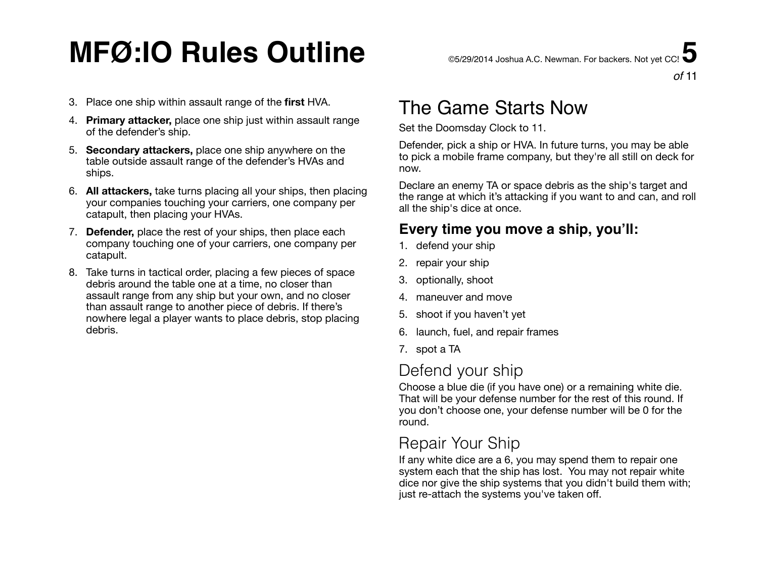- 4. **Primary attacker,** place one ship just within assault range of the defender's ship.
- 5. **Secondary attackers,** place one ship anywhere on the table outside assault range of the defender's HVAs and ships.
- 6. **All attackers,** take turns placing all your ships, then placing your companies touching your carriers, one company per catapult, then placing your HVAs.
- 7. **Defender,** place the rest of your ships, then place each company touching one of your carriers, one company per catapult.
- 8. Take turns in tactical order, placing a few pieces of space debris around the table one at a time, no closer than assault range from any ship but your own, and no closer than assault range to another piece of debris. If there's nowhere legal a player wants to place debris, stop placing debris.

## The Game Starts Now

Set the Doomsday Clock to 11.

Defender, pick a ship or HVA. In future turns, you may be able to pick a mobile frame company, but they're all still on deck for now.

Declare an enemy TA or space debris as the ship's target and the range at which it's attacking if you want to and can, and roll all the ship's dice at once.

#### **Every time you move a ship, you'll:**

- 1. defend your ship
- 2. repair your ship
- 3. optionally, shoot
- 4. maneuver and move
- 5. shoot if you haven't yet
- 6. launch, fuel, and repair frames
- 7. spot a TA

### Defend your ship

Choose a blue die (if you have one) or a remaining white die. That will be your defense number for the rest of this round. If you don't choose one, your defense number will be 0 for the round.

### Repair Your Ship

If any white dice are a 6, you may spend them to repair one system each that the ship has lost. You may not repair white dice nor give the ship systems that you didn't build them with; just re-attach the systems you've taken off.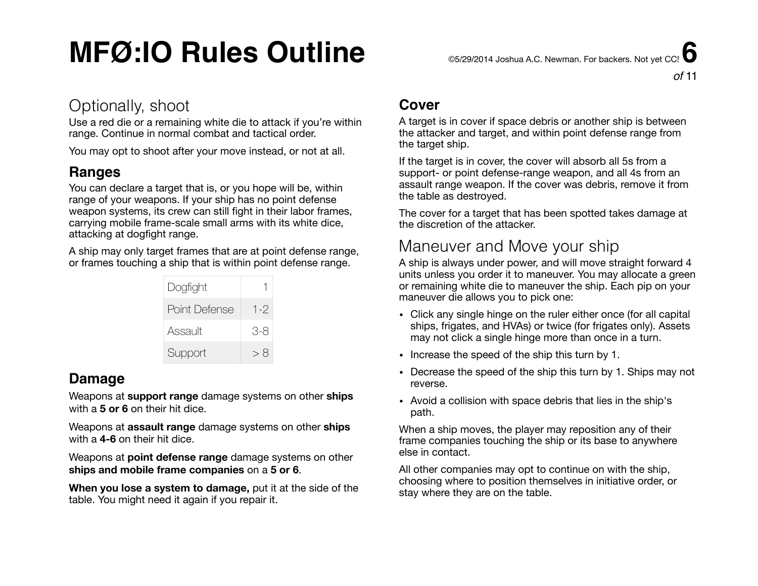*of* 11

#### Optionally, shoot

Use a red die or a remaining white die to attack if you're within range. Continue in normal combat and tactical order.

You may opt to shoot after your move instead, or not at all.

#### **Ranges**

You can declare a target that is, or you hope will be, within range of your weapons. If your ship has no point defense weapon systems, its crew can still fight in their labor frames, carrying mobile frame-scale small arms with its white dice, attacking at dogfight range.

A ship may only target frames that are at point defense range, or frames touching a ship that is within point defense range.

| Dogfight      |         |
|---------------|---------|
| Point Defense | $1 - 2$ |
| Assault       | 3-8     |
| Support       | > 8     |

#### **Damage**

Weapons at **support range** damage systems on other **ships** with a **5 or 6** on their hit dice.

Weapons at **assault range** damage systems on other **ships** with a **4-6** on their hit dice.

Weapons at **point defense range** damage systems on other **ships and mobile frame companies** on a **5 or 6**.

**When you lose a system to damage,** put it at the side of the table. You might need it again if you repair it.

#### **Cover**

A target is in cover if space debris or another ship is between the attacker and target, and within point defense range from the target ship.

If the target is in cover, the cover will absorb all 5s from a support- or point defense-range weapon, and all 4s from an assault range weapon. If the cover was debris, remove it from the table as destroyed.

The cover for a target that has been spotted takes damage at the discretion of the attacker.

### Maneuver and Move your ship

A ship is always under power, and will move straight forward 4 units unless you order it to maneuver. You may allocate a green or remaining white die to maneuver the ship. Each pip on your maneuver die allows you to pick one:

- Click any single hinge on the ruler either once (for all capital ships, frigates, and HVAs) or twice (for frigates only). Assets may not click a single hinge more than once in a turn.
- Increase the speed of the ship this turn by 1.
- Decrease the speed of the ship this turn by 1. Ships may not reverse.
- Avoid a collision with space debris that lies in the ship's path.

When a ship moves, the player may reposition any of their frame companies touching the ship or its base to anywhere else in contact.

All other companies may opt to continue on with the ship, choosing where to position themselves in initiative order, or stay where they are on the table.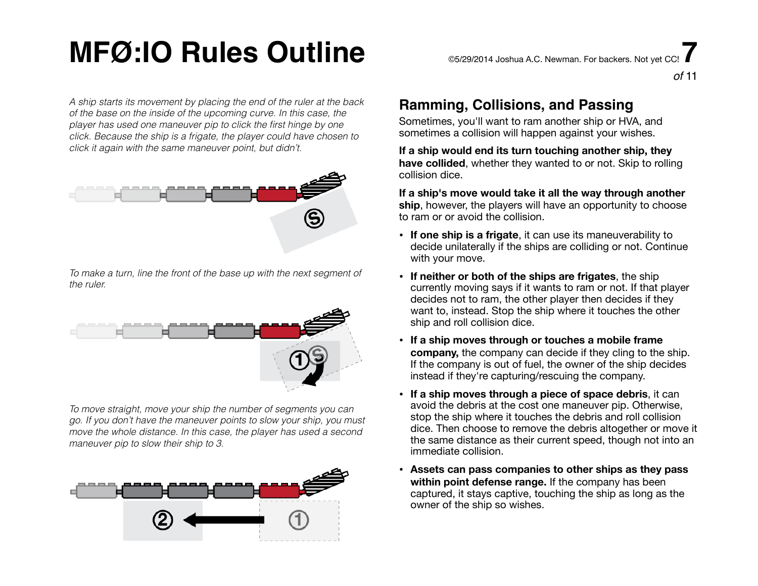*A ship starts its movement by placing the end of the ruler at the back of the base on the inside of the upcoming curve. In this case, the player has used one maneuver pip to click the first hinge by one click. Because the ship is a frigate, the player could have chosen to click it again with the same maneuver point, but didn't.*



*To make a turn, line the front of the base up with the next segment of the ruler.*



*To move straight, move your ship the number of segments you can go. If you don't have the maneuver points to slow your ship, you must move the whole distance. In this case, the player has used a second maneuver pip to slow their ship to 3.*



#### **Ramming, Collisions, and Passing**

Sometimes, you'll want to ram another ship or HVA, and sometimes a collision will happen against your wishes.

**If a ship would end its turn touching another ship, they have collided**, whether they wanted to or not. Skip to rolling collision dice.

*of* 11

**If a ship's move would take it all the way through another ship**, however, the players will have an opportunity to choose to ram or or avoid the collision.

- **If one ship is a frigate**, it can use its maneuverability to decide unilaterally if the ships are colliding or not. Continue with your move.
- **If neither or both of the ships are frigates**, the ship currently moving says if it wants to ram or not. If that player decides not to ram, the other player then decides if they want to, instead. Stop the ship where it touches the other ship and roll collision dice.
- **If a ship moves through or touches a mobile frame company,** the company can decide if they cling to the ship. If the company is out of fuel, the owner of the ship decides instead if they're capturing/rescuing the company.
- **If a ship moves through a piece of space debris**, it can avoid the debris at the cost one maneuver pip. Otherwise, stop the ship where it touches the debris and roll collision dice. Then choose to remove the debris altogether or move it the same distance as their current speed, though not into an immediate collision.
- **• Assets can pass companies to other ships as they pass within point defense range.** If the company has been captured, it stays captive, touching the ship as long as the owner of the ship so wishes.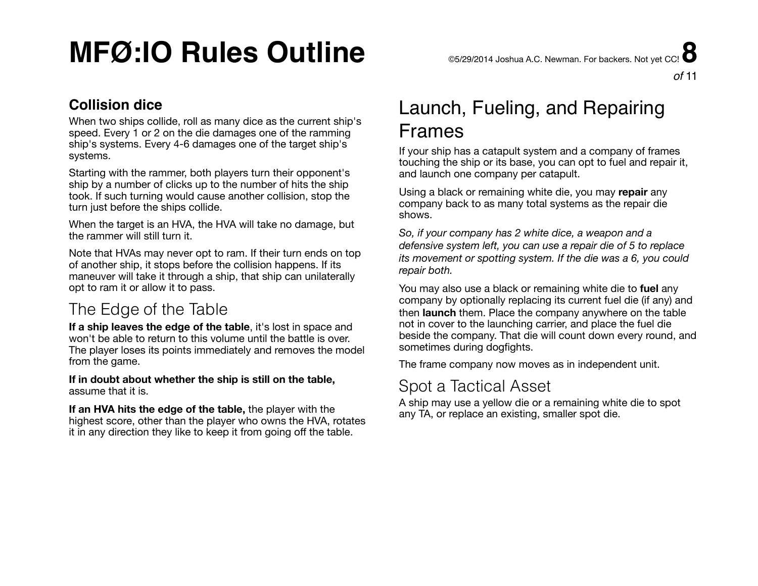#### *of* 11

#### **Collision dice**

When two ships collide, roll as many dice as the current ship's speed. Every 1 or 2 on the die damages one of the ramming ship's systems. Every 4-6 damages one of the target ship's systems.

Starting with the rammer, both players turn their opponent's ship by a number of clicks up to the number of hits the ship took. If such turning would cause another collision, stop the turn just before the ships collide.

When the target is an HVA, the HVA will take no damage, but the rammer will still turn it.

Note that HVAs may never opt to ram. If their turn ends on top of another ship, it stops before the collision happens. If its maneuver will take it through a ship, that ship can unilaterally opt to ram it or allow it to pass.

### The Edge of the Table

**If a ship leaves the edge of the table**, it's lost in space and won't be able to return to this volume until the battle is over. The player loses its points immediately and removes the model from the game.

**If in doubt about whether the ship is still on the table,** assume that it is.

**If an HVA hits the edge of the table,** the player with the highest score, other than the player who owns the HVA, rotates it in any direction they like to keep it from going off the table.

## Launch, Fueling, and Repairing Frames

If your ship has a catapult system and a company of frames touching the ship or its base, you can opt to fuel and repair it, and launch one company per catapult.

Using a black or remaining white die, you may **repair** any company back to as many total systems as the repair die shows.

*So, if your company has 2 white dice, a weapon and a defensive system left, you can use a repair die of 5 to replace its movement or spotting system. If the die was a 6, you could repair both.* 

You may also use a black or remaining white die to **fuel** any company by optionally replacing its current fuel die (if any) and then **launch** them. Place the company anywhere on the table not in cover to the launching carrier, and place the fuel die beside the company. That die will count down every round, and sometimes during dogfights.

The frame company now moves as in independent unit.

#### Spot a Tactical Asset

A ship may use a yellow die or a remaining white die to spot any TA, or replace an existing, smaller spot die.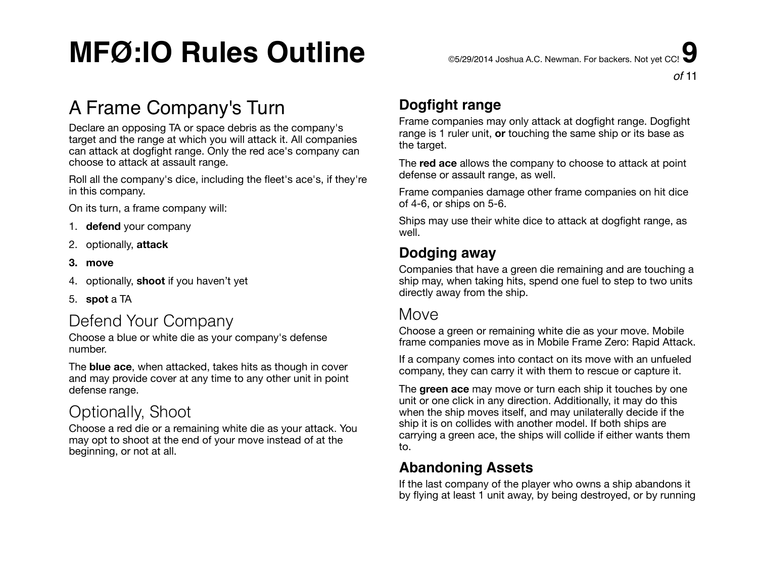## A Frame Company's Turn

Declare an opposing TA or space debris as the company's target and the range at which you will attack it. All companies can attack at dogfight range. Only the red ace's company can choose to attack at assault range.

Roll all the company's dice, including the fleet's ace's, if they're in this company.

On its turn, a frame company will:

- 1. **defend** your company
- 2. optionally, **attack**
- **3. move**
- 4. optionally, **shoot** if you haven't yet
- 5. **spot** a TA

### Defend Your Company

Choose a blue or white die as your company's defense number.

The **blue ace**, when attacked, takes hits as though in cover and may provide cover at any time to any other unit in point defense range.

### Optionally, Shoot

Choose a red die or a remaining white die as your attack. You may opt to shoot at the end of your move instead of at the beginning, or not at all.

### **Dogfight range**

Frame companies may only attack at dogfight range. Dogfight range is 1 ruler unit, **or** touching the same ship or its base as the target.

The **red ace** allows the company to choose to attack at point defense or assault range, as well.

Frame companies damage other frame companies on hit dice of 4-6, or ships on 5-6.

Ships may use their white dice to attack at dogfight range, as well.

#### **Dodging away**

Companies that have a green die remaining and are touching a ship may, when taking hits, spend one fuel to step to two units directly away from the ship.

#### **Move**

Choose a green or remaining white die as your move. Mobile frame companies move as in Mobile Frame Zero: Rapid Attack.

If a company comes into contact on its move with an unfueled company, they can carry it with them to rescue or capture it.

The **green ace** may move or turn each ship it touches by one unit or one click in any direction. Additionally, it may do this when the ship moves itself, and may unilaterally decide if the ship it is on collides with another model. If both ships are carrying a green ace, the ships will collide if either wants them to.

#### **Abandoning Assets**

If the last company of the player who owns a ship abandons it by flying at least 1 unit away, by being destroyed, or by running

*of* 11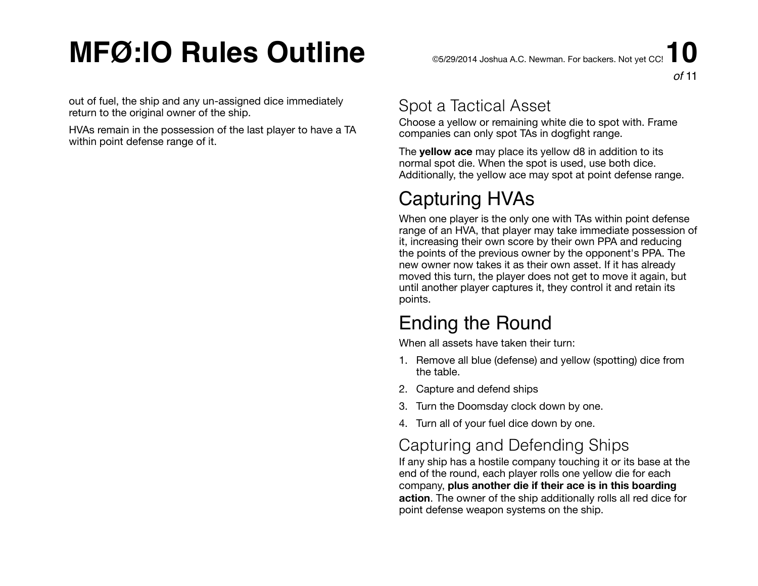out of fuel, the ship and any un-assigned dice immediately return to the original owner of the ship.

HVAs remain in the possession of the last player to have a TA within point defense range of it.

### Spot a Tactical Asset

Choose a yellow or remaining white die to spot with. Frame companies can only spot TAs in dogfight range.

The **yellow ace** may place its yellow d8 in addition to its normal spot die. When the spot is used, use both dice. Additionally, the yellow ace may spot at point defense range.

## Capturing HVAs

When one player is the only one with TAs within point defense range of an HVA, that player may take immediate possession of it, increasing their own score by their own PPA and reducing the points of the previous owner by the opponent's PPA. The new owner now takes it as their own asset. If it has already moved this turn, the player does not get to move it again, but until another player captures it, they control it and retain its points.

## Ending the Round

When all assets have taken their turn:

- 1. Remove all blue (defense) and yellow (spotting) dice from the table.
- 2. Capture and defend ships
- 3. Turn the Doomsday clock down by one.
- 4. Turn all of your fuel dice down by one.

### Capturing and Defending Ships

If any ship has a hostile company touching it or its base at the end of the round, each player rolls one yellow die for each company, **plus another die if their ace is in this boarding action**. The owner of the ship additionally rolls all red dice for point defense weapon systems on the ship.